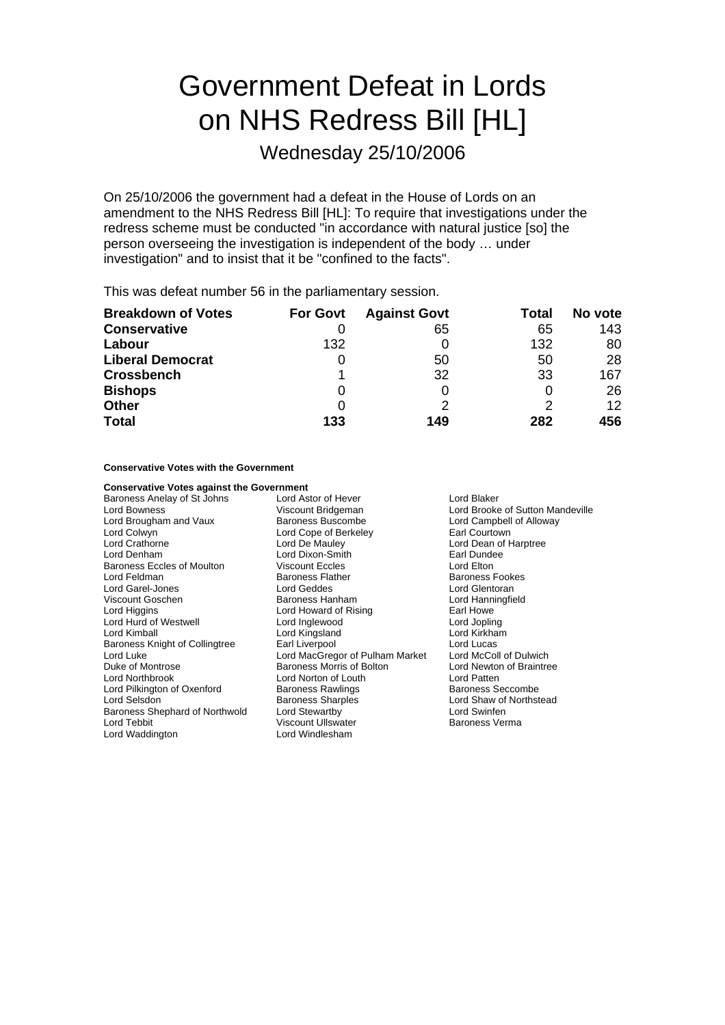# Government Defeat in Lords on NHS Redress Bill [HL]

Wednesday 25/10/2006

On 25/10/2006 the government had a defeat in the House of Lords on an amendment to the NHS Redress Bill [HL]: To require that investigations under the redress scheme must be conducted "in accordance with natural justice [so] the person overseeing the investigation is independent of the body … under investigation" and to insist that it be "confined to the facts".

This was defeat number 56 in the parliamentary session.

| <b>Breakdown of Votes</b> | <b>For Govt</b> | <b>Against Govt</b> | Total | No vote |
|---------------------------|-----------------|---------------------|-------|---------|
| <b>Conservative</b>       |                 | 65                  | 65    | 143     |
| Labour                    | 132             |                     | 132   | 80      |
| <b>Liberal Democrat</b>   | 0               | 50                  | 50    | 28      |
| <b>Crossbench</b>         |                 | 32                  | 33    | 167     |
| <b>Bishops</b>            | 0               |                     |       | 26      |
| <b>Other</b>              | 0               |                     | 2     | 12      |
| <b>Total</b>              | 133             | 149                 | 282   | 456     |

**Conservative Votes with the Government**

| <b>Conservative Votes against the Government</b> |                                                        |                          |  |
|--------------------------------------------------|--------------------------------------------------------|--------------------------|--|
| Baroness Anelay of St Johns                      | Lord Astor of Hever                                    | Lord Blaker              |  |
| Lord Bowness                                     | Viscount Bridgeman<br>Lord Brooke of Sutton Mandeville |                          |  |
| Lord Brougham and Vaux                           | Baroness Buscombe<br>Lord Campbell of Alloway          |                          |  |
| Lord Colwyn                                      | Lord Cope of Berkeley                                  | Earl Courtown            |  |
| <b>Lord Crathorne</b>                            | Lord De Mauley                                         | Lord Dean of Harptree    |  |
| Lord Denham                                      | Lord Dixon-Smith                                       | Earl Dundee              |  |
| <b>Baroness Eccles of Moulton</b>                | <b>Viscount Eccles</b>                                 | Lord Elton               |  |
| Lord Feldman                                     | <b>Baroness Flather</b>                                | <b>Baroness Fookes</b>   |  |
| Lord Garel-Jones                                 | Lord Geddes                                            | Lord Glentoran           |  |
| Viscount Goschen                                 | Baroness Hanham                                        | Lord Hanningfield        |  |
| Lord Higgins                                     | Lord Howard of Rising                                  | Earl Howe                |  |
| Lord Hurd of Westwell                            | Lord Inglewood                                         | Lord Jopling             |  |
| Lord Kimball                                     | Lord Kingsland                                         | Lord Kirkham             |  |
| Baroness Knight of Collingtree                   | Earl Liverpool                                         | Lord Lucas               |  |
| Lord Luke                                        | Lord MacGregor of Pulham Market                        | Lord McColl of Dulwich   |  |
| Duke of Montrose                                 | Baroness Morris of Bolton                              | Lord Newton of Braintree |  |
| Lord Northbrook                                  | Lord Norton of Louth                                   | Lord Patten              |  |
| Lord Pilkington of Oxenford                      | <b>Baroness Rawlings</b>                               | Baroness Seccombe        |  |
| Lord Selsdon                                     | <b>Baroness Sharples</b>                               | Lord Shaw of Northstead  |  |
| Baroness Shephard of Northwold                   | Lord Stewartby                                         | Lord Swinfen             |  |
| Lord Tebbit                                      | <b>Viscount Ullswater</b>                              | <b>Baroness Verma</b>    |  |
| Lord Waddington                                  | Lord Windlesham                                        |                          |  |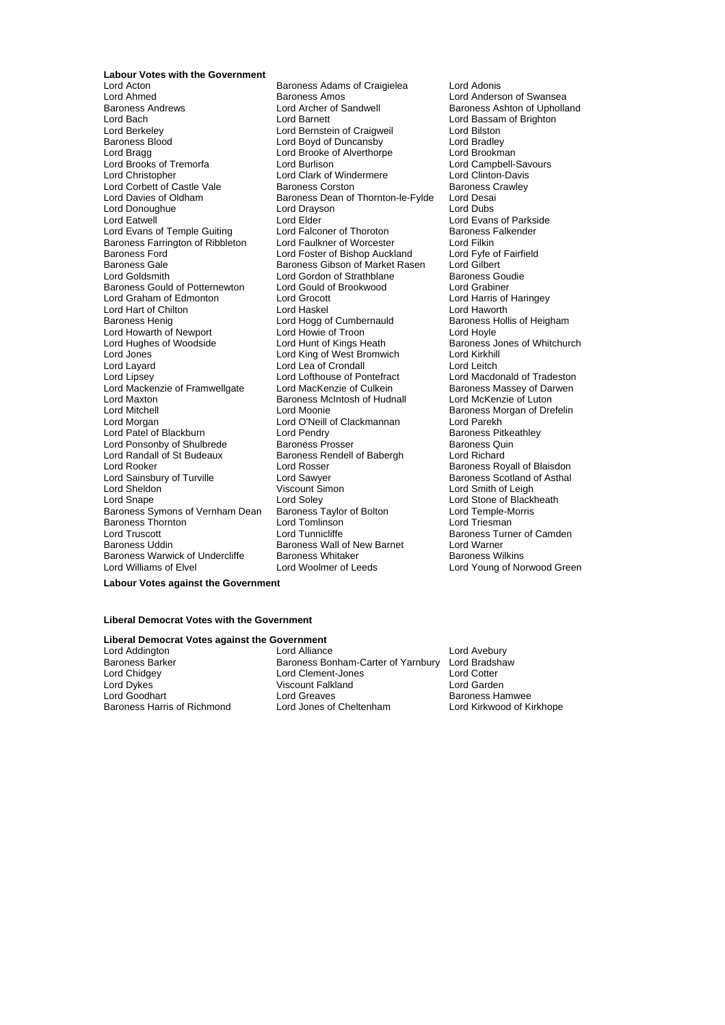**Labour Votes with the Government**<br>**Lord Acton** 

Lord Ahmed **Baroness Amos**<br>
Baroness Andrews **Baroness Anderson Consumerse Algebra**<br>
Baroness Andrews **Lord Archer of Sandwell** Baroness Ashton of Upholla Lord Bach **Lord Barnett** Lord Barnett **Lord Bassam of Brighton**<br>
Lord Barnett Lord Barnett Lord Barnett Lord Bilston<br>
Lord Bernett Lord Bilston Lord Berkeley **Lord Bernstein of Craigweil**<br>
Baroness Blood **in the Lord Boyd of Duncansby** Lord Bradley Baroness Blood **Exercise Secure Lord Boyd of Duncansby** Lord Bradley<br>
Lord Bradge Lord Brooknan<br>
Lord Brooknan Lord Brooks of Tremorfa **by Lord Burlison** Lord Burlison Lord Campbell-Savours Lord Campbell-Savours Lord Clinton<br>
Lord Christopher **by Lord Clark of Windermere** Lord Clinton-Davis Lord Corbett of Castle Vale Baroness Corston Baroness Corston Baroness Corston Baroness Corston Baroness Corston Baroness Corston Baroness Corston Baroness Corston Baroness Corston Baroness Corston Baroness Corston Barones Lord Donoughue<br>
Lord Eatwell<br>
Lord Elder Lord Evans of Temple Guiting Lord Falconer of Thoroton<br>Baroness Farrington of Ribbleton Lord Faulkner of Worcester Baroness Farrington of Ribbleton Lord Faulkner of Worcester Lord Filkin<br>Baroness Ford Fairfield Lord Foster of Bishop Auckland Lord Fyfe of Fairfield Baroness Gale Baroness Gibson of Market Rasen Lord Gilbert<br>
Lord Goldsmith Lord Condon of Strathblane Baroness Goudie Baroness Gould of Potternewton Lord Gould of Brookwood Lord Grabiner<br>
Lord Graham of Edmonton Lord Grocott Lord Harris of Haringey Lord Graham of Edmonton Lord Hart of Chilton **Chilt no Lord Haskel Lord Haworth**<br>Baroness Henig no Lord Hogg of Cumbernauld Baroness Hollis of Heigham Lord Howarth of Newport Lord Howie of Troon<br>
Lord Hughes of Woodside Lord Hunt of Kings Heath Lord Hughes of Woodside Lord Hunt of Kings Heath Baroness Jones of Whitchurch<br>
Lord Lord King of West Bromwich Lord Kirkhill<br>
Lord Kirkhill Lord Jones Lord King of West Bromwich Lord Kirkhill Lord Layard Lord Lea of Crondall<br>
Lord Lipsey Lord Lofthouse of Pontefract Lord Mackenzie of Framwellgate Lord MacKenzie of Culkein Baroness Massey of Da<br>Lord Maxton Baroness McIntosh of Hudnall Lord McKenzie of Luton Lord Maxton **Baroness McIntosh of Hudnall** Lord Mitchell<br>
Lord Mitchell **Lord Moonie** Lord Mitchell **Lord Moonie** Lord Moonie **Baroness Morgan of Drefelin**<br>
Lord Morgan **Baroness Morgan Lord Corporation**<br>
Lord Morgan Lord O'Neill of Clackmannan Lord Parekh Lord Patel of Blackburn and Lord Pendry and Baroness Pitke Baroness Pitke<br>Lord Ponsonby of Shulbrede Baroness Prosser Baroness Quin Lord Ponsonby of Shulbrede Baroness Prosser Baroness Quincil Baroness Quincil Baroness Quincil Baroness Rendell of Babergh Baroness Rendell of Babergh Lord Rooker Lord Rosser Baroness Royall of Blaisdon Lord Sainsbury of Turville **Lord Sawyer** Cord Sawyer **Baroness Scotland of Asthal**<br>
Lord Sheldon **Cord Scotland Of Asthal**<br>
Lord Smith of Leigh Lord Snape<br>Lord Soley<br>Baroness Symons of Vernham Dean Baroness Taylor of Bolton Baroness Symons of Vernham Dean Baroness Taylor of Bolton Lord Temple-Morris<br>Baroness Thornton Lord Tomlinson Lord Temple Readers Lord Triesman Baroness Thornton Lord Tomlinson<br>
Lord Truscott Lord Tunnicliffe Lord Truscott **Lord Tunnicliffe** Exercise Baroness Turner of Camden<br>
Baroness Uddin Baroness Wall of New Barnet Lord Warner Baroness Warwick of Undercliffe Baroness Whitaker<br>Lord Williams of Elvel Baroness Lord Woolmer of Leeds

Lord Acton **Confluence Communist Craigielea** Lord Adonis<br>
Lord Ahmed **Communist Craigielea** Lord Anders Lord Archer of Sandwell **Baroness Ashton of Upholland Lord Baroness Ashton of Upholland** Lord Brooke of Alverthorpe **F** Lord Brookman<br>
Lord Burlison<br>
Lord Campbell-Savours Lord Clark of Windermere<br>
Baroness Corston Baroness Crawley Baroness Dean of Thornton-le-Fylde Lord Desai<br>Lord Drayson Lord Dubs Lord Elder Lord Evans of Parkside<br>
Lord Eder Lord Evans of Parkside<br>
Lord Falconer of Thoroton Baroness Falkender Lord Foster of Bishop Auckland Lord Fyfe of Baroness Gibson of Market Rasen Lord Gilbert Lord Gordon of Strathblane Baroness Gou<br>
Lord Gould of Brookwood Lord Grabiner Lord Hogg of Cumbernauld Baroness Hord Howle of Troon Lord Lofthouse of Pontefract Lord Macdonald of Tradeston<br>
Lord MacKenzie of Culkein Baroness Massey of Darwen Lord O'Neill of Clackmannan Lord Parekh<br>
Lord Pendry Baroness Pitkeathley Baroness Rendell of Babergh Baroness Wall of New Barnet Lord Warner<br>Baroness Whitaker Baroness Wilkins

Lord Smith of Leigh<br>Lord Stone of Blackheath Lord Young of Norwood Green

**Labour Votes against the Government**

## **Liberal Democrat Votes with the Government**

# **Liberal Democrat Votes against the Government**<br>Lord Addington **1** and Alliance

Lord Addington **Lack Constructed Lord Alliance** Lord Avebury<br>Baroness Barker **Baroness Bonham-Carter of Yarnbury** Lord Bradsha Baroness Barker Baroness Bonham-Carter of Yarnbury Lord Bradshaw<br>Lord Chidgey Lord Clement-Jones Lord Cotter Lord Chidge y Lord Clement-Jones Lord Cotter Viscount Falkland Lord Goodhart **Lord Greaves** Cord Greaves **Baroness Hamwee**<br>
Baroness Harris of Richmond Lord Jones of Cheltenham **Cord Kirkwood of Ki** Baroness Harris of Richmond Lord Jones of Cheltenham Lord Kirkwood of Kirkhope